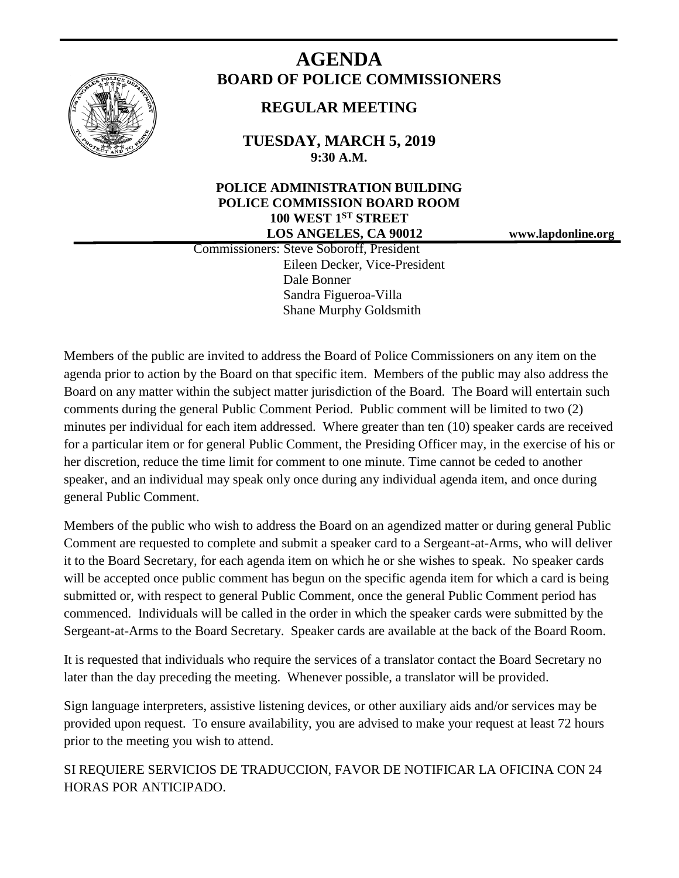

# **AGENDA BOARD OF POLICE COMMISSIONERS**

## **REGULAR MEETING**

**TUESDAY, MARCH 5, 2019 9:30 A.M.**

## **POLICE ADMINISTRATION BUILDING POLICE COMMISSION BOARD ROOM 100 WEST 1ST STREET LOS ANGELES, CA 90012 www.lapdonline.org**

 Commissioners: Steve Soboroff, President Eileen Decker, Vice-President Dale Bonner Sandra Figueroa-Villa Shane Murphy Goldsmith

Members of the public are invited to address the Board of Police Commissioners on any item on the agenda prior to action by the Board on that specific item. Members of the public may also address the Board on any matter within the subject matter jurisdiction of the Board. The Board will entertain such comments during the general Public Comment Period. Public comment will be limited to two (2) minutes per individual for each item addressed. Where greater than ten (10) speaker cards are received for a particular item or for general Public Comment, the Presiding Officer may, in the exercise of his or her discretion, reduce the time limit for comment to one minute. Time cannot be ceded to another speaker, and an individual may speak only once during any individual agenda item, and once during general Public Comment.

Members of the public who wish to address the Board on an agendized matter or during general Public Comment are requested to complete and submit a speaker card to a Sergeant-at-Arms, who will deliver it to the Board Secretary, for each agenda item on which he or she wishes to speak. No speaker cards will be accepted once public comment has begun on the specific agenda item for which a card is being submitted or, with respect to general Public Comment, once the general Public Comment period has commenced. Individuals will be called in the order in which the speaker cards were submitted by the Sergeant-at-Arms to the Board Secretary. Speaker cards are available at the back of the Board Room.

It is requested that individuals who require the services of a translator contact the Board Secretary no later than the day preceding the meeting. Whenever possible, a translator will be provided.

Sign language interpreters, assistive listening devices, or other auxiliary aids and/or services may be provided upon request. To ensure availability, you are advised to make your request at least 72 hours prior to the meeting you wish to attend.

SI REQUIERE SERVICIOS DE TRADUCCION, FAVOR DE NOTIFICAR LA OFICINA CON 24 HORAS POR ANTICIPADO.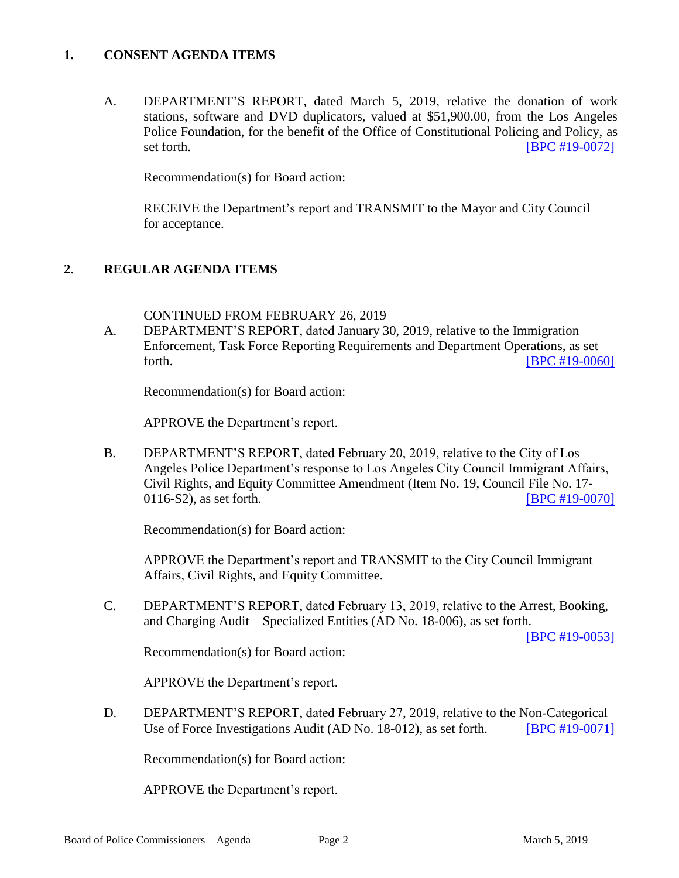## **1. CONSENT AGENDA ITEMS**

A. DEPARTMENT'S REPORT, dated March 5, 2019, relative the donation of work stations, software and DVD duplicators, valued at \$51,900.00, from the Los Angeles Police Foundation, for the benefit of the Office of Constitutional Policing and Policy, as set forth. **[\[BPC #19-0072\]](http://www.lapdpolicecom.lacity.org/030519/BPC_19-0072.pdf)** 

Recommendation(s) for Board action:

RECEIVE the Department's report and TRANSMIT to the Mayor and City Council for acceptance.

## **2**. **REGULAR AGENDA ITEMS**

CONTINUED FROM FEBRUARY 26, 2019

A. DEPARTMENT'S REPORT, dated January 30, 2019, relative to the Immigration Enforcement, Task Force Reporting Requirements and Department Operations, as set forth. **EXECUTE: EXECUTE: EXECUTE: EXECUTE: EXECUTE: EXECUTE: EXECUTE: EXECUTE: EXECUTE: EXECUTE: EXECUTE: EXECUTE: EXECUTE: EXECUTE: EXECUTE: EXECUTE: EXECUTE: EXECUTE: EXECUTE: EXECU** 

Recommendation(s) for Board action:

APPROVE the Department's report.

B. DEPARTMENT'S REPORT, dated February 20, 2019, relative to the City of Los Angeles Police Department's response to Los Angeles City Council Immigrant Affairs, Civil Rights, and Equity Committee Amendment (Item No. 19, Council File No. 17- 0116-S2), as set forth. [\[BPC #19-0070\]](http://www.lapdpolicecom.lacity.org/030519/BPC_19-0070.pdf)

Recommendation(s) for Board action:

APPROVE the Department's report and TRANSMIT to the City Council Immigrant Affairs, Civil Rights, and Equity Committee.

C. DEPARTMENT'S REPORT, dated February 13, 2019, relative to the Arrest, Booking, and Charging Audit – Specialized Entities (AD No. 18-006), as set forth.

[\[BPC #19-0053\]](http://www.lapdpolicecom.lacity.org/030519/BPC_19-0053.pdf)

Recommendation(s) for Board action:

APPROVE the Department's report.

D. DEPARTMENT'S REPORT, dated February 27, 2019, relative to the Non-Categorical Use of Force Investigations Audit (AD No. 18-012), as set forth. **[\[BPC #19-0071\]](http://www.lapdpolicecom.lacity.org/030519/BPC_19-0071.pdf)** 

Recommendation(s) for Board action:

APPROVE the Department's report.